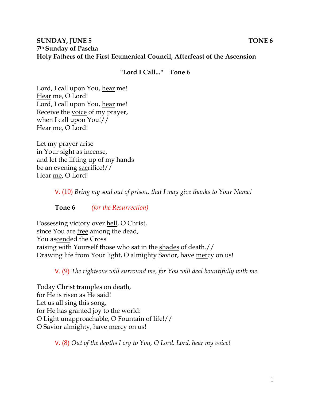## **SUNDAY, JUNE 5** TONE 6 **7th Sunday of Pascha Holy Fathers of the First Ecumenical Council, Afterfeast of the Ascension**

### **"Lord I Call..." Tone 6**

Lord, I call upon You, hear me! Hear me, O Lord! Lord, I call upon You, hear me! Receive the voice of my prayer, when I call upon You!// Hear me, O Lord!

Let my prayer arise in Your sight as incense, and let the lifting up of my hands be an evening sacrifice!// Hear me, O Lord!

V. (10) *Bring my soul out of prison, that I may give thanks to Your Name!* 

**Tone 6** *(for the Resurrection)* 

Possessing victory over hell, O Christ, since You are free among the dead, You ascended the Cross raising with Yourself those who sat in the shades of death.// Drawing life from Your light, O almighty Savior, have mercy on us!

V. (9) *The righteous will surround me, for You will deal bountifully with me.* 

Today Christ tramples on death, for He is risen as He said! Let us all sing this song, for He has granted joy to the world: O Light unapproachable, O Fountain of life!// O Savior almighty, have mercy on us!

V. (8) *Out of the depths I cry to You, O Lord. Lord, hear my voice!*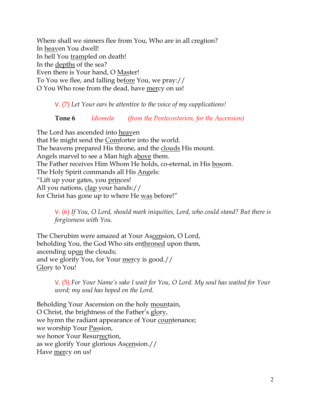Where shall we sinners flee from You, Who are in all creation? In heaven You dwell! In hell You trampled on death! In the depths of the sea? Even there is Your hand, O Master! To You we flee, and falling before You, we pray:// O You Who rose from the dead, have mercy on us!

#### V. (7) *Let Your ears be attentive to the voice of my supplications!*

# **Tone 6** *Idiomela (from the Pentecostarion, for the Ascension)*

The Lord has ascended into heaven that He might send the Comforter into the world. The heavens prepared His throne, and the clouds His mount. Angels marvel to see a Man high above them. The Father receives Him Whom He holds, co-eternal, in His bosom. The Holy Spirit commands all His Angels: "Lift up your gates, you <u>princes</u>! All you nations, clap your hands:// for Christ has gone up to where He was before!"

V. (6) *If You, O Lord, should mark iniquities, Lord, who could stand? But there is forgiveness with You.* 

The Cherubim were amazed at Your Ascension, O Lord, beholding You, the God Who sits enthroned upon them, ascending upon the clouds; and we glorify You, for Your mercy is good.// Glory to You!

> V. (5) *For Your Name's sake I wait for You, O Lord. My soul has waited for Your word; my soul has hoped on the Lord.*

Beholding Your Ascension on the holy mountain, O Christ, the brightness of the Father's glory, we hymn the radiant appearance of Your countenance; we worship Your Passion, we honor Your Resurrection, as we glorify Your glorious Ascension.// Have mercy on us!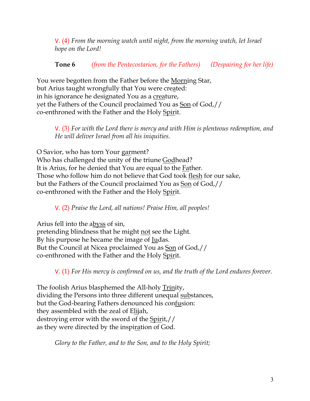V. (4) *From the morning watch until night, from the morning watch, let Israel hope on the Lord!* 

**Tone 6** *(from the Pentecostarion, for the Fathers) (Despairing for her life)*

You were begotten from the Father before the Morning Star, but Arius taught wrongfully that You were created: in his ignorance he designated You as a creature, yet the Fathers of the Council proclaimed You as Son of God,// co-enthroned with the Father and the Holy Spirit.

V. (3) *For with the Lord there is mercy and with Him is plenteous redemption, and He will deliver Israel from all his iniquities.*

O Savior, who has torn Your garment? Who has challenged the unity of the triune Godhead? It is Arius, for he denied that You are equal to the Father. Those who follow him do not believe that God took flesh for our sake, but the Fathers of the Council proclaimed You as Son of God,// co-enthroned with the Father and the Holy Spirit.

V. (2) *Praise the Lord, all nations! Praise Him, all peoples!*

Arius fell into the abyss of sin, pretending blindness that he might not see the Light. By his purpose he became the image of <u>Ju</u>das. But the Council at Nicea proclaimed You as Son of God,// co-enthroned with the Father and the Holy Spirit.

V. (1) *For His mercy is confirmed on us, and the truth of the Lord endures forever.* 

The foolish Arius blasphemed the All-holy Trinity, dividing the Persons into three different unequal substances, but the God-bearing Fathers denounced his confusion: they assembled with the zeal of Elijah, destroying error with the sword of the Spirit,// as they were directed by the inspiration of God.

*Glory to the Father, and to the Son, and to the Holy Spirit;*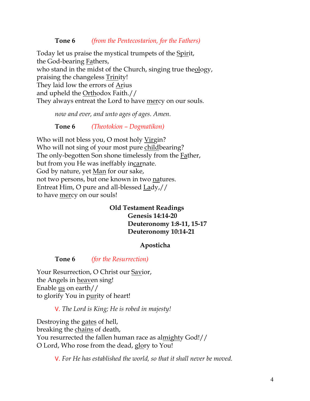#### **Tone 6** *(from the Pentecostarion, for the Fathers)*

Today let us praise the mystical trumpets of the Spirit, the God-bearing Fathers, who stand in the midst of the Church, singing true theology, praising the changeless Trinity! They laid low the errors of Arius and upheld the Orthodox Faith.// They always entreat the Lord to have mercy on our souls.

*now and ever, and unto ages of ages. Amen.* 

**Tone 6** *(Theotokion – Dogmatikon)*

Who will not bless you, O most holy Virgin? Who will not sing of your most pure childbearing? The only-begotten Son shone timelessly from the Father, but from you He was ineffably incarnate. God by nature, yet Man for our sake, not two persons, but one known in two natures. Entreat Him, O pure and all-blessed Lady,// to have mercy on our souls!

#### **Old Testament Readings Genesis 14:14-20 Deuteronomy 1:8-11, 15-17 Deuteronomy 10:14-21**

#### **Aposticha**

**Tone 6** *(for the Resurrection)*

Your Resurrection, O Christ our Savior, the Angels in heaven sing! Enable us on earth// to glorify You in purity of heart!

V. *The Lord is King; He is robed in majesty!* 

Destroying the gates of hell, breaking the chains of death, You resurrected the fallen human race as almighty God!// O Lord, Who rose from the dead, glory to You!

V. *For He has established the world, so that it shall never be moved.*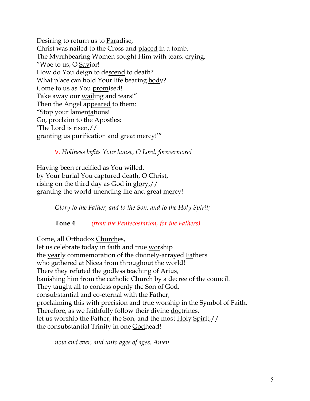Desiring to return us to Paradise, Christ was nailed to the Cross and placed in a tomb. The Myrrhbearing Women sought Him with tears, crying, "Woe to us, O Savior! How do You deign to descend to death? What place can hold Your life bearing body? Come to us as You promised! Take away our wailing and tears!" Then the Angel appeared to them: "Stop your lamentations! Go, proclaim to the Apostles: 'The Lord is risen,// granting us purification and great mercy!'"

V. *Holiness befits Your house, O Lord, forevermore!* 

Having been crucified as You willed, by Your burial You captured death, O Christ, rising on the third day as God in glory,// granting the world unending life and great mercy!

*Glory to the Father, and to the Son, and to the Holy Spirit;*

**Tone 4** *(from the Pentecostarion, for the Fathers)*

Come, all Orthodox Churches,

let us celebrate today in faith and true worship the yearly commemoration of the divinely-arrayed Fathers who gathered at Nicea from throughout the world! There they refuted the godless teaching of Arius, banishing him from the catholic Church by a decree of the council. They taught all to confess openly the Son of God, consubstantial and co-eternal with the Father, proclaiming this with precision and true worship in the **Symbol** of Faith. Therefore, as we faithfully follow their divine doctrines, let us worship the Father, the Son, and the most Holy Spirit,// the consubstantial Trinity in one Godhead!

*now and ever, and unto ages of ages. Amen.*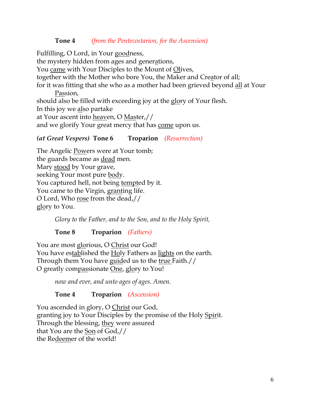#### **Tone 4** *(from the Pentecostarion, for the Ascension)*

Fulfilling, O Lord, in Your goodness, the mystery hidden from ages and generations, You came with Your Disciples to the Mount of Olives, together with the Mother who bore You, the Maker and Creator of all; for it was fitting that she who as a mother had been grieved beyond all at Your Passion, should also be filled with exceeding joy at the glory of Your flesh. In this joy we also partake at Your ascent into heaven, O Master,// and we glorify Your great mercy that has come upon us.

### *(at Great Vespers)* **Tone 6 Troparion** *(Resurrection)*

The Angelic Powers were at Your tomb; the guards became as dead men. Mary stood by Your grave, seeking Your most pure body. You captured hell, not being <u>tempt</u>ed by it. You came to the Virgin, granting life. O Lord, Who rose from the dead,// glory to You.

*Glory to the Father, and to the Son, and to the Holy Spirit,*

**Tone 8 Troparion** *(Fathers)*

You are most glorious, O Christ our God! You have established the Holy Fathers as lights on the earth. Through them You have guided us to the true Faith.// O greatly compassionate One, glory to You!

*now and ever, and unto ages of ages. Amen.*

**Tone 4 Troparion** *(Ascension)*

You ascended in glory, O Christ our God, granting joy to Your Disciples by the promise of the Holy Spirit. Through the blessing, they were assured that You are the Son of God,// the Redeemer of the world!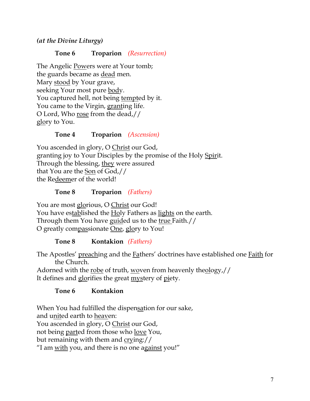*(at the Divine Liturgy)*

## **Tone 6 Troparion** *(Resurrection)*

The Angelic Powers were at Your tomb; the guards became as dead men. Mary stood by Your grave, seeking Your most pure body. You captured hell, not being tempted by it. You came to the Virgin, granting life. O Lord, Who rose from the dead,// glory to You.

### **Tone 4 Troparion** *(Ascension)*

You ascended in glory, O Christ our God, granting joy to Your Disciples by the promise of the Holy Spirit. Through the blessing, they were assured that You are the Son of God,// the Redeemer of the world!

## **Tone 8 Troparion** *(Fathers)*

You are most glorious, O Christ our God! You have established the Holy Fathers as lights on the earth. Through them You have guided us to the true Faith.// O greatly compassionate One, glory to You!

# **Tone 8 Kontakion** *(Fathers)*

The Apostles' preaching and the Fathers' doctrines have established one Faith for the Church.

Adorned with the robe of truth, woven from heavenly theology,// It defines and glorifies the great mystery of piety.

# **Tone 6 Kontakion**

When You had fulfilled the dispensation for our sake, and united earth to heaven: You ascended in glory, O Christ our God, not being parted from those who love You, but remaining with them and crying:// "I am with you, and there is no one against you!"